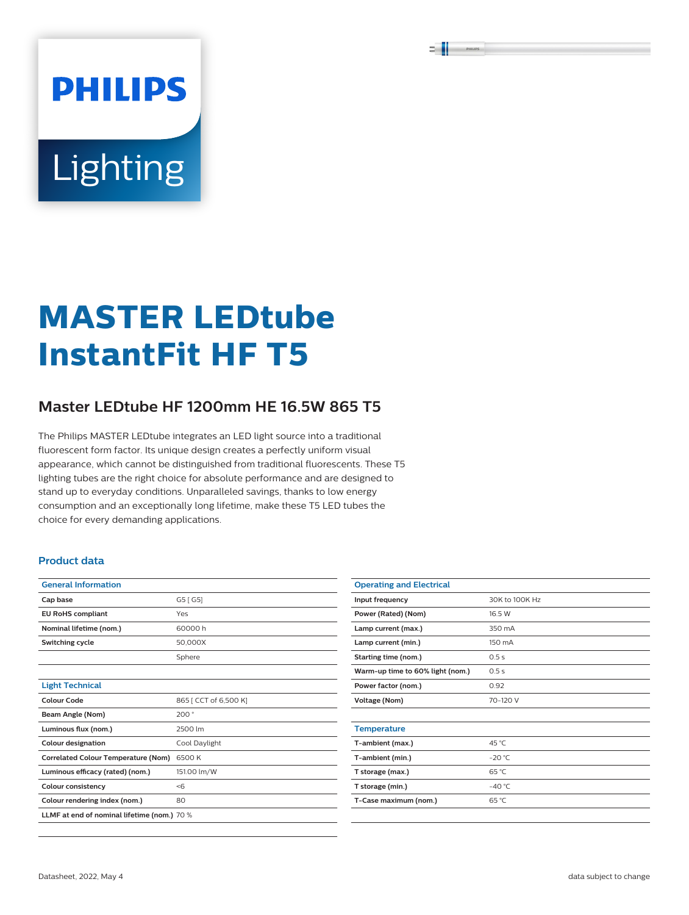# **PHILIPS** Lighting

## **MASTER LEDtube InstantFit HF T5**

### **Master LEDtube HF 1200mm HE 16.5W 865 T5**

The Philips MASTER LEDtube integrates an LED light source into a traditional fluorescent form factor. Its unique design creates a perfectly uniform visual appearance, which cannot be distinguished from traditional fluorescents. These T5 lighting tubes are the right choice for absolute performance and are designed to stand up to everyday conditions. Unparalleled savings, thanks to low energy consumption and an exceptionally long lifetime, make these T5 LED tubes the choice for every demanding applications.

#### **Product data**

| <b>General Information</b>                  |                       |  |  |  |
|---------------------------------------------|-----------------------|--|--|--|
| Cap base                                    | G5 [G5]               |  |  |  |
| <b>EU RoHS compliant</b>                    | Yes                   |  |  |  |
| Nominal lifetime (nom.)                     | 60000h                |  |  |  |
| Switching cycle                             | 50,000X               |  |  |  |
|                                             | Sphere                |  |  |  |
|                                             |                       |  |  |  |
| <b>Light Technical</b>                      |                       |  |  |  |
| Colour Code                                 | 865 [ CCT of 6,500 K] |  |  |  |
| Beam Angle (Nom)                            | 200°                  |  |  |  |
| Luminous flux (nom.)                        | 2500 lm               |  |  |  |
| <b>Colour designation</b>                   | Cool Daylight         |  |  |  |
| <b>Correlated Colour Temperature (Nom)</b>  | 6500 K                |  |  |  |
| Luminous efficacy (rated) (nom.)            | 151.00 lm/W           |  |  |  |
| <b>Colour consistency</b>                   | < 6                   |  |  |  |
| Colour rendering index (nom.)               | 80                    |  |  |  |
| LLMF at end of nominal lifetime (nom.) 70 % |                       |  |  |  |

| <b>Operating and Electrical</b>  |                 |  |  |
|----------------------------------|-----------------|--|--|
| Input frequency                  | 30K to 100K Hz  |  |  |
| Power (Rated) (Nom)              | 16.5 W          |  |  |
| Lamp current (max.)              | 350 mA          |  |  |
| Lamp current (min.)              | 150 mA          |  |  |
| Starting time (nom.)             | 0.5s            |  |  |
| Warm-up time to 60% light (nom.) | 0.5s            |  |  |
| Power factor (nom.)              | 0.92            |  |  |
| <b>Voltage (Nom)</b>             | 70-120 V        |  |  |
|                                  |                 |  |  |
| <b>Temperature</b>               |                 |  |  |
| T-ambient (max.)                 | 45 °C           |  |  |
| T-ambient (min.)                 | $-20 °C$        |  |  |
| T storage (max.)                 | 65 °C           |  |  |
| T storage (min.)                 | $-40^{\circ}$ C |  |  |
| T-Case maximum (nom.)            | 65 °C           |  |  |
|                                  |                 |  |  |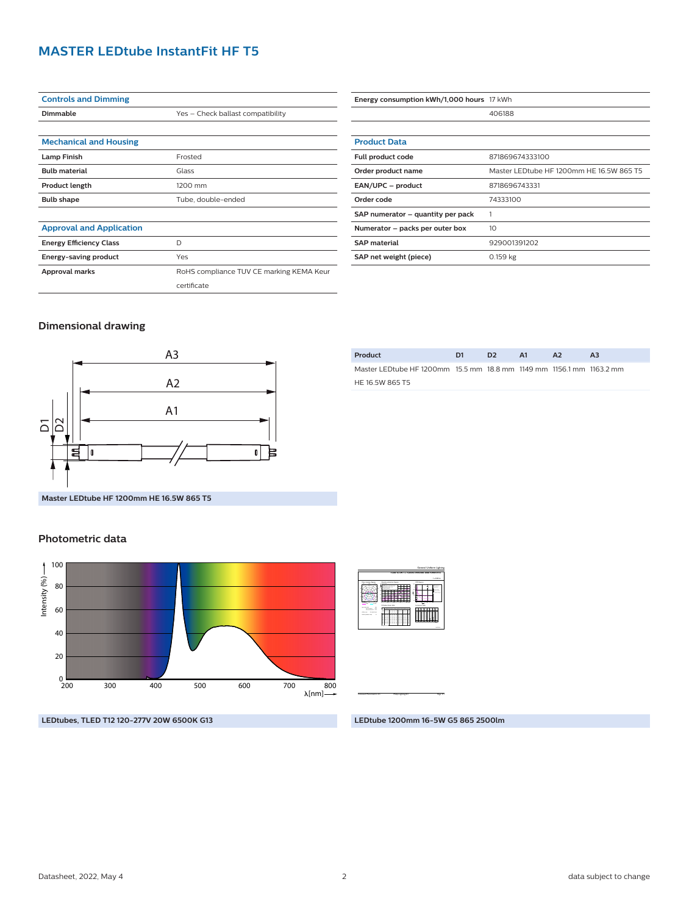#### **MASTER LEDtube InstantFit HF T5**

| <b>Controls and Dimming</b>     |                                          |  |  |  |  |
|---------------------------------|------------------------------------------|--|--|--|--|
| Dimmable                        | Yes - Check ballast compatibility        |  |  |  |  |
|                                 |                                          |  |  |  |  |
| <b>Mechanical and Housing</b>   |                                          |  |  |  |  |
| <b>Lamp Finish</b>              | Frosted                                  |  |  |  |  |
| <b>Bulb material</b>            | Glass                                    |  |  |  |  |
| <b>Product length</b>           | 1200 mm                                  |  |  |  |  |
| <b>Bulb shape</b>               | Tube, double-ended                       |  |  |  |  |
|                                 |                                          |  |  |  |  |
| <b>Approval and Application</b> |                                          |  |  |  |  |
| <b>Energy Efficiency Class</b>  | D                                        |  |  |  |  |
| Energy-saving product           | Yes                                      |  |  |  |  |
| Approval marks                  | RoHS compliance TUV CE marking KEMA Keur |  |  |  |  |
|                                 | certificate                              |  |  |  |  |

| Energy consumption kWh/1,000 hours 17 kWh |                                          |  |  |  |
|-------------------------------------------|------------------------------------------|--|--|--|
|                                           | 406188                                   |  |  |  |
|                                           |                                          |  |  |  |
| <b>Product Data</b>                       |                                          |  |  |  |
| <b>Full product code</b>                  | 871869674333100                          |  |  |  |
| Order product name                        | Master LEDtube HF 1200mm HE 16.5W 865 T5 |  |  |  |
| EAN/UPC - product                         | 8718696743331                            |  |  |  |
| Order code                                | 74333100                                 |  |  |  |
| SAP numerator – quantity per pack         |                                          |  |  |  |
| Numerator – packs per outer box           | 10                                       |  |  |  |
| <b>SAP material</b>                       | 929001391202                             |  |  |  |
| SAP net weight (piece)                    | $0.159$ kg                               |  |  |  |

#### **Dimensional drawing**



| Product                                                              | D1 | D <sub>2</sub> | A1 | $\mathbf{A}$ | A3 |
|----------------------------------------------------------------------|----|----------------|----|--------------|----|
| Master LEDtube HF 1200mm 15.5 mm 18.8 mm 1149 mm 1156.1 mm 1163.2 mm |    |                |    |              |    |
| HE 16.5W 865 T5                                                      |    |                |    |              |    |

**Master LEDtube HF 1200mm HE 16.5W 865 T5**

#### **Photometric data**



**LEDtubes, TLED T12 120-277V 20W 6500K G13**

2017-05-24 **TLED 16.5W 1 x TLED16.5W6500K 200D 9290013912** 1 x 2500 lm Light output ratio 1.00 Service downward 0.74 Polar intensity diagram **100** 150 150 200 200 γ Utilisation factor table Room Index k  $\overline{\phantom{a}}$  $\overline{\phantom{a}}$ 5.000.80 1.020.<br>8020.8020.80 0.50 0.10  $\rightarrow$  $-1$  $\approx$  $-22.72$  $-77$  $-1$ 0.85 1 0.960.70 0.900.70 0.840.70 0.30 0.10 0.29 0.36 0.430.49 0.54 0.62 0.67 0.71 0.77 0.800.50 0.30 0.34 0.71 0.740.50  $\rightarrow$  $-1$  $-2$  $\rightarrow$  $\equiv$  1.  $-1$  $-5.5$  $-1$  $-1$  $-1$ 1 0.680.30  $\rightarrow$  $\overline{\phantom{a}}$  $-2$  $-26$  $\equiv$  1.  $-1$  $-1$  $-1$ -- $-1$ 0.650.00  $-1$  $-1$ 0.17  $-222$ 0.260.31 0.35 0.41 0.46 0.49 0.53 0.56Quantity estimation diagram n alimentos 0 10 20 30 40 <sup>2</sup> 10 30 50 70 90 (m 300 lx 500 lx 750 lx Reflectances: 0.70, 0.50, 0.30 Ceiling mounted UGR diagram 4.0  $\overline{\phantom{a}}$ 8.0 12.0 16.0 m  $\sim$ Y <sup>h</sup>room: 2.8 m Refl: 0.70 0.50 0.20 Ceiling mounted : viewed endwise <sup>Y</sup> : Parallel to viewing dir. 25 28 25 Luminance Table 0.0 15.0 30.0 45.0 60.0 75.0 90.0  $\tilde{\phantom{a}}$ 50.0 60.0 65.0 70.0 75.0 80.0 85.0 90.0 Plane <sup>12977</sup> <sup>12455</sup> <sup>11556</sup> <sup>11206</sup> <sup>10937</sup> <sup>10810</sup> <sup>10768</sup> <sup>10819</sup> <sup>11122</sup> <sup>13630</sup> <sup>12974</sup> <sup>11673</sup> <sup>11081</sup> <sup>10573</sup> <sup>10205</sup> <sup>9956</sup> <sup>9920</sup> <sup>10141</sup> <sup>9408</sup> <sup>18343</sup> <sup>17872</sup> <sup>17219</sup> <sup>16494</sup> <sup>15465</sup> <sup>14165</sup> <sup>12362</sup> <sup>9706</sup> <sup>5823</sup> <sup>4244</sup> General Uniform Lighting

CalcuLuX Photometrics 4.5 Philips Lighting B.V. Page: 1/1 Page: 1/1

**LEDtube 1200mm 16-5W G5 865 2500lm**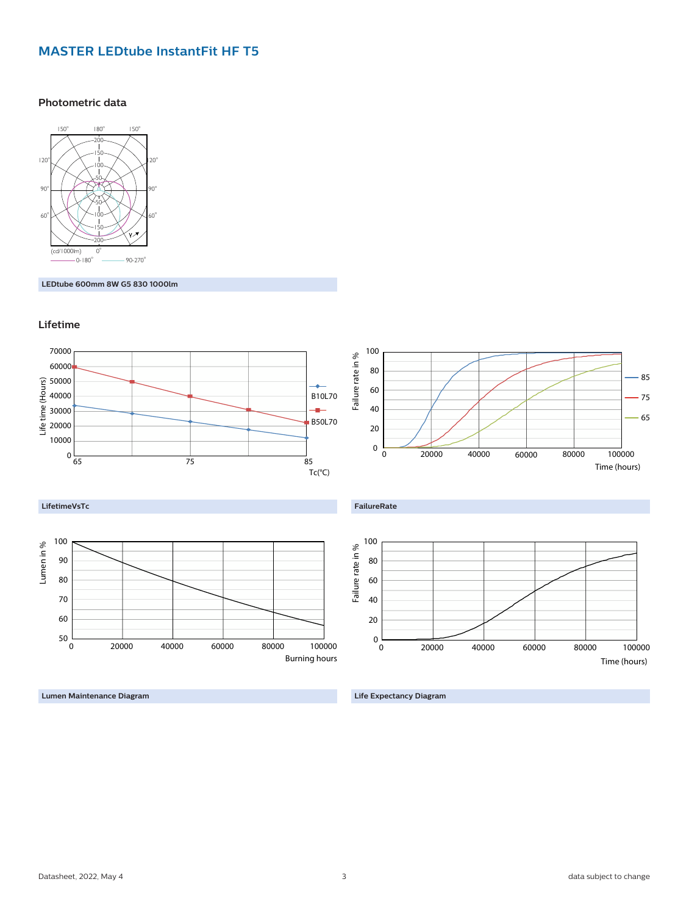#### **MASTER LEDtube InstantFit HF T5**

#### **Photometric data**



**LEDtube 600mm 8W G5 830 1000lm**





**Lumen Maintenance Diagram**

**Life Expectancy Diagram**